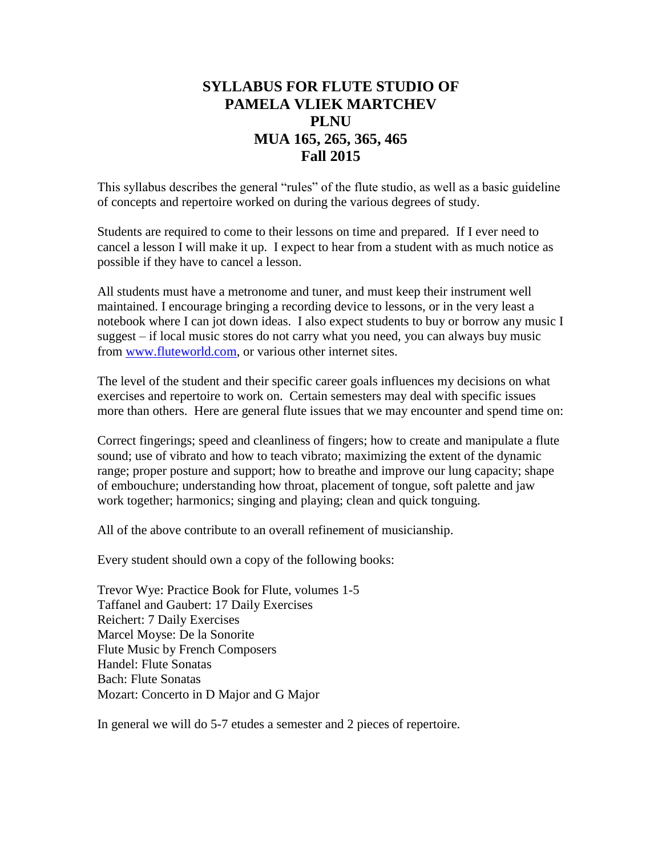# **SYLLABUS FOR FLUTE STUDIO OF PAMELA VLIEK MARTCHEV PLNU MUA 165, 265, 365, 465 Fall 2015**

This syllabus describes the general "rules" of the flute studio, as well as a basic guideline of concepts and repertoire worked on during the various degrees of study.

Students are required to come to their lessons on time and prepared. If I ever need to cancel a lesson I will make it up. I expect to hear from a student with as much notice as possible if they have to cancel a lesson.

All students must have a metronome and tuner, and must keep their instrument well maintained. I encourage bringing a recording device to lessons, or in the very least a notebook where I can jot down ideas. I also expect students to buy or borrow any music I suggest – if local music stores do not carry what you need, you can always buy music from [www.fluteworld.com,](http://www.fluteworld.com/) or various other internet sites.

The level of the student and their specific career goals influences my decisions on what exercises and repertoire to work on. Certain semesters may deal with specific issues more than others. Here are general flute issues that we may encounter and spend time on:

Correct fingerings; speed and cleanliness of fingers; how to create and manipulate a flute sound; use of vibrato and how to teach vibrato; maximizing the extent of the dynamic range; proper posture and support; how to breathe and improve our lung capacity; shape of embouchure; understanding how throat, placement of tongue, soft palette and jaw work together; harmonics; singing and playing; clean and quick tonguing.

All of the above contribute to an overall refinement of musicianship.

Every student should own a copy of the following books:

Trevor Wye: Practice Book for Flute, volumes 1-5 Taffanel and Gaubert: 17 Daily Exercises Reichert: 7 Daily Exercises Marcel Moyse: De la Sonorite Flute Music by French Composers Handel: Flute Sonatas Bach: Flute Sonatas Mozart: Concerto in D Major and G Major

In general we will do 5-7 etudes a semester and 2 pieces of repertoire.